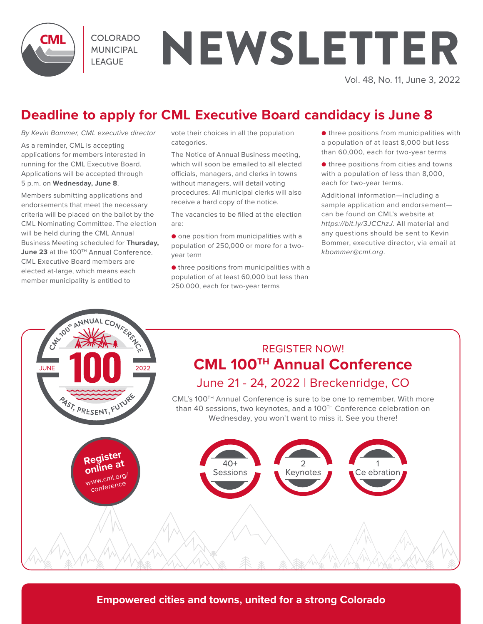

COI ORADO **MUNICIPAL LEAGUE** 

# NEWSLETTER

Vol. 48, No. 11, June 3, 2022

## **Deadline to apply for CML Executive Board candidacy is June 8**

*By Kevin Bommer, CML executive director* 

As a reminder, CML is accepting applications for members interested in running for the CML Executive Board. Applications will be accepted through 5 p.m. on **Wednesday, June 8**.

Members submitting applications and endorsements that meet the necessary criteria will be placed on the ballot by the CML Nominating Committee. The election will be held during the CML Annual Business Meeting scheduled for **Thursday,**  June 23 at the 100<sup>TH</sup> Annual Conference. CML Executive Board members are elected at-large, which means each member municipality is entitled to

vote their choices in all the population categories.

The Notice of Annual Business meeting, which will soon be emailed to all elected officials, managers, and clerks in towns without managers, will detail voting procedures. All municipal clerks will also receive a hard copy of the notice.

The vacancies to be filled at the election are:

● one position from municipalities with a population of 250,000 or more for a twoyear term

● three positions from municipalities with a population of at least 60,000 but less than 250,000, each for two-year terms

● three positions from municipalities with a population of at least 8,000 but less than 60,000, each for two-year terms

● three positions from cities and towns with a population of less than 8,000, each for two-year terms.

Additional information—including a sample application and endorsement can be found on CML's website at *https://bit.ly/3JCChzJ*. All material and any questions should be sent to Kevin Bommer, executive director, via email at *kbommer@cml.org*.



**Empowered cities and towns, united for a strong Colorado**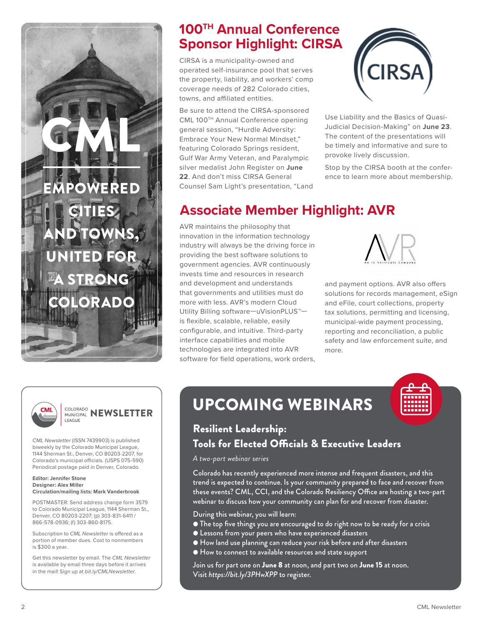## **100TH Annual Conference Sponsor Highlight: CIRSA**

CIRSA is a municipality-owned and operated self-insurance pool that serves the property, liability, and workers' comp coverage needs of 282 Colorado cities, towns, and affiliated entities.

Be sure to attend the CIRSA-sponsored CML 100TH Annual Conference opening general session, "Hurdle Adversity: Embrace Your New Normal Mindset," featuring Colorado Springs resident, Gulf War Army Veteran, and Paralympic silver medalist John Register on **June 22**. And don't miss CIRSA General Counsel Sam Light's presentation, "Land



Use Liability and the Basics of Quasi-Judicial Decision-Making" on **June 23**. The content of the presentations will be timely and informative and sure to provoke lively discussion.

Stop by the CIRSA booth at the conference to learn more about membership.

## **Associate Member Highlight: AVR**

AVR maintains the philosophy that innovation in the information technology industry will always be the driving force in providing the best software solutions to government agencies. AVR continuously invests time and resources in research and development and understands that governments and utilities must do more with less. AVR's modern Cloud Utility Billing software—uVisionPLUS™ is flexible, scalable, reliable, easily configurable, and intuitive. Third-party interface capabilities and mobile technologies are integrated into AVR software for field operations, work orders,



and payment options. AVR also offers solutions for records management, eSign and eFile, court collections, property tax solutions, permitting and licensing, municipal-wide payment processing, reporting and reconciliation, a public safety and law enforcement suite, and more.



### **COLORADO NEWSLETTER** LEAGUE

OWER

GML

**CITIES** 

AND TOWNS,

UNITED FOR

TRONG

ORADO

*CML Newsletter* (ISSN 7439903) is published biweekly by the Colorado Municipal League, 1144 Sherman St., Denver, CO 80203-2207, for Colorado's municipal officials. (USPS 075-590) Periodical postage paid in Denver, Colorado.

#### **Editor: Jennifer Stone Designer: Alex Miller Circulation/mailing lists: Mark Vanderbrook**

POSTMASTER: Send address change form 3579 to Colorado Municipal League, 1144 Sherman St., Denver, CO 80203-2207; (p) 303-831-6411 / 866-578-0936; (f) 303-860-8175.

Subscription to *CML Newsletter* is offered as a portion of member dues. Cost to nonmembers is \$300 a year.

Get this newsletter by email. The *CML Newsletter*  is available by email three days before it arrives in the mail! Sign up at *bit.ly/CMLNewsletter*.

## **UPCOMING WEBINARS**



### Resilient Leadership: Tools for Elected Officials & Executive Leaders

*A two-part webinar series*

Colorado has recently experienced more intense and frequent disasters, and this trend is expected to continue. Is your community prepared to face and recover from these events? CML, CCI, and the Colorado Resiliency Office are hosting a two-part webinar to discuss how your community can plan for and recover from disaster.

During this webinar, you will learn:

- The top five things you are encouraged to do right now to be ready for a crisis
- Lessons from your peers who have experienced disasters
- How land use planning can reduce your risk before and after disasters
- How to connect to available resources and state support

Join us for part one on June 8 at noon, and part two on June 15 at noon. Visit *https://bit.ly/3PHwXPP* to register.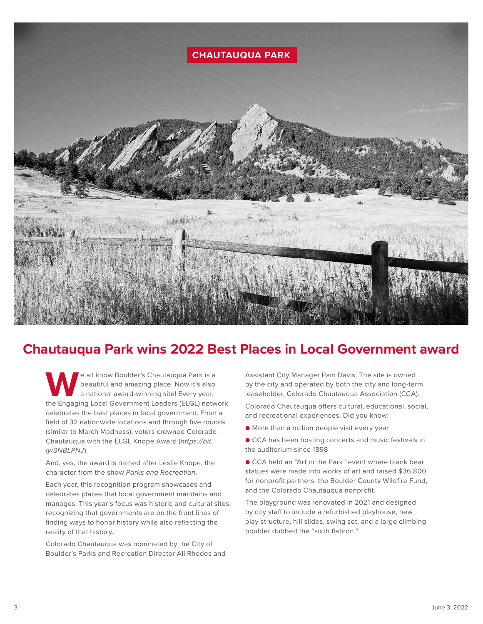

## **Chautauqua Park wins 2022 Best Places in Local Government award**

**W**e all know Boulder's Chautauqua Park is a<br>beautiful and amazing place. Now it's also<br>a national award-winning site! Every year,<br>the Engaging Local Government Leaders (ELGL) netw beautiful and amazing place. Now it's also a national award-winning site! Every year, the Engaging Local Government Leaders (ELGL) network celebrates the best places in local government. From a field of 32 nationwide locations and through five rounds (similar to March Madness), voters crowned Colorado Chautauqua with the ELGL Knope Award (*https://bit. ly/3NBLPNJ*).

And, yes, the award is named after Leslie Knope, the character from the show *Parks and Recreation*.

Each year, this recognition program showcases and celebrates places that local government maintains and manages. This year's focus was historic and cultural sites, recognizing that governments are on the front lines of finding ways to honor history while also reflecting the reality of that history.

Colorado Chautauqua was nominated by the City of Boulder's Parks and Recreation Director Ali Rhodes and Assistant City Manager Pam Davis. The site is owned by the city and operated by both the city and long-term leaseholder, Colorado Chautauqua Association (CCA).

Colorado Chautauqua offers cultural, educational, social, and recreational experiences. Did you know:

● More than a million people visit every year

● CCA has been hosting concerts and music festivals in the auditorium since 1898

● CCA held an "Art in the Park" event where blank bear statues were made into works of art and raised \$36,800 for nonprofit partners, the Boulder County Wildfire Fund, and the Colorado Chautauqua nonprofit.

The playground was renovated in 2021 and designed by city staff to include a refurbished playhouse, new play structure, hill slides, swing set, and a large climbing boulder dubbed the "sixth flatiron."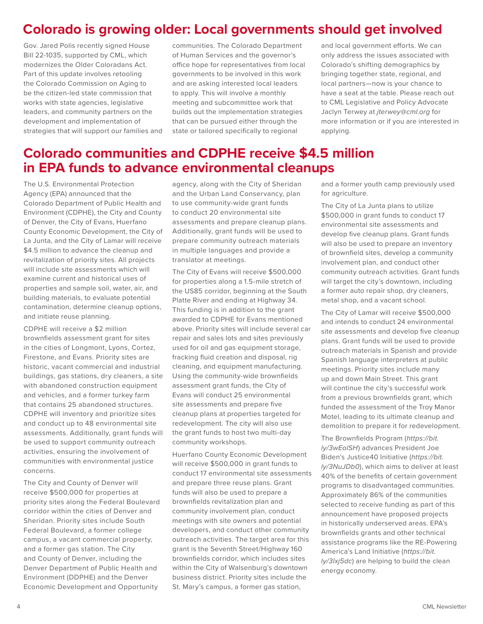## **Colorado is growing older: Local governments should get involved**

Gov. Jared Polis recently signed House Bill 22-1035, supported by CML, which modernizes the Older Coloradans Act. Part of this update involves retooling the Colorado Commission on Aging to be the citizen-led state commission that works with state agencies, legislative leaders, and community partners on the development and implementation of strategies that will support our families and communities. The Colorado Department of Human Services and the governor's office hope for representatives from local governments to be involved in this work and are asking interested local leaders to apply. This will involve a monthly meeting and subcommittee work that builds out the implementation strategies that can be pursued either through the state or tailored specifically to regional

and local government efforts. We can only address the issues associated with Colorado's shifting demographics by bringing together state, regional, and local partners—now is your chance to have a seat at the table. Please reach out to CML Legislative and Policy Advocate Jaclyn Terwey at *jterwey@cml.org* for more information or if you are interested in applying.

## **Colorado communities and CDPHE receive \$4.5 million in EPA funds to advance environmental cleanups**

The U.S. Environmental Protection Agency (EPA) announced that the Colorado Department of Public Health and Environment (CDPHE), the City and County of Denver, the City of Evans, Huerfano County Economic Development, the City of La Junta, and the City of Lamar will receive \$4.5 million to advance the cleanup and revitalization of priority sites. All projects will include site assessments which will examine current and historical uses of properties and sample soil, water, air, and building materials, to evaluate potential contamination, determine cleanup options, and initiate reuse planning.

CDPHE will receive a \$2 million brownfields assessment grant for sites in the cities of Longmont, Lyons, Cortez, Firestone, and Evans. Priority sites are historic, vacant commercial and industrial buildings, gas stations, dry cleaners, a site with abandoned construction equipment and vehicles, and a former turkey farm that contains 25 abandoned structures. CDPHE will inventory and prioritize sites and conduct up to 48 environmental site assessments. Additionally, grant funds will be used to support community outreach activities, ensuring the involvement of communities with environmental justice concerns.

The City and County of Denver will receive \$500,000 for properties at priority sites along the Federal Boulevard corridor within the cities of Denver and Sheridan. Priority sites include South Federal Boulevard, a former college campus, a vacant commercial property, and a former gas station. The City and County of Denver, including the Denver Department of Public Health and Environment (DDPHE) and the Denver Economic Development and Opportunity

agency, along with the City of Sheridan and the Urban Land Conservancy, plan to use community-wide grant funds to conduct 20 environmental site assessments and prepare cleanup plans. Additionally, grant funds will be used to prepare community outreach materials in multiple languages and provide a translator at meetings.

The City of Evans will receive \$500,000 for properties along a 1.5-mile stretch of the US85 corridor, beginning at the South Platte River and ending at Highway 34. This funding is in addition to the grant awarded to CDPHE for Evans mentioned above. Priority sites will include several car repair and sales lots and sites previously used for oil and gas equipment storage, fracking fluid creation and disposal, rig cleaning, and equipment manufacturing. Using the community-wide brownfields assessment grant funds, the City of Evans will conduct 25 environmental site assessments and prepare five cleanup plans at properties targeted for redevelopment. The city will also use the grant funds to host two multi-day community workshops.

Huerfano County Economic Development will receive \$500,000 in grant funds to conduct 17 environmental site assessments and prepare three reuse plans. Grant funds will also be used to prepare a brownfields revitalization plan and community involvement plan, conduct meetings with site owners and potential developers, and conduct other community outreach activities. The target area for this grant is the Seventh Street/Highway 160 brownfields corridor, which includes sites within the City of Walsenburg's downtown business district. Priority sites include the St. Mary's campus, a former gas station,

and a former youth camp previously used for agriculture.

The City of La Junta plans to utilize \$500,000 in grant funds to conduct 17 environmental site assessments and develop five cleanup plans. Grant funds will also be used to prepare an inventory of brownfield sites, develop a community involvement plan, and conduct other community outreach activities. Grant funds will target the city's downtown, including a former auto repair shop, dry cleaners, metal shop, and a vacant school.

The City of Lamar will receive \$500,000 and intends to conduct 24 environmental site assessments and develop five cleanup plans. Grant funds will be used to provide outreach materials in Spanish and provide Spanish language interpreters at public meetings. Priority sites include many up and down Main Street. This grant will continue the city's successful work from a previous brownfields grant, which funded the assessment of the Troy Manor Motel, leading to its ultimate cleanup and demolition to prepare it for redevelopment.

The Brownfields Program (*https://bit. ly/3wEolSH*) advances President Joe Biden's Justice40 Initiative (*https://bit. ly/3NuJDb0*), which aims to deliver at least 40% of the benefits of certain government programs to disadvantaged communities. Approximately 86% of the communities selected to receive funding as part of this announcement have proposed projects in historically underserved areas. EPA's brownfields grants and other technical assistance programs like the RE-Powering America's Land Initiative (*https://bit. ly/3lxj5dc*) are helping to build the clean energy economy.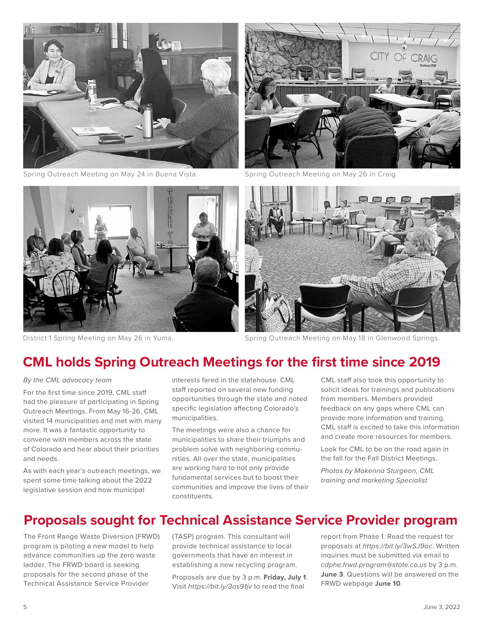

Spring Outreach Meeting on May 24 in Buena Vista. Spring Outreach Meeting on May 26 in Craig.







District 1 Spring Meeting on May 26 in Yuma. Spring Outreach Meeting on May 18 in Glenwood Springs.

## **CML holds Spring Outreach Meetings for the first time since 2019**

*By the CML advocacy team* 

For the first time since 2019, CML staff had the pleasure of participating in Spring Outreach Meetings. From May 16-26, CML visited 14 municipalities and met with many more. It was a fantastic opportunity to convene with members across the state of Colorado and hear about their priorities and needs.

As with each year's outreach meetings, we spent some time talking about the 2022 legislative session and how municipal

interests fared in the statehouse. CML staff reported on several new funding opportunities through the state and noted specific legislation affecting Colorado's municipalities.

The meetings were also a chance for municipalities to share their triumphs and problem solve with neighboring communities. All over the state, municipalities are working hard to not only provide fundamental services but to boost their communities and improve the lives of their constituents.

CML staff also took this opportunity to solicit ideas for trainings and publications from members. Members provided feedback on any gaps where CML can provide more information and training. CML staff is excited to take this information and create more resources for members.

Look for CML to be on the road again in the fall for the Fall District Meetings.

*Photos by Makenna Sturgeon, CML training and marketing Specialist* 

### **Proposals sought for Technical Assistance Service Provider program**

The Front Range Waste Diversion (FRWD) program is piloting a new model to help advance communities up the zero waste ladder. The FRWD board is seeking proposals for the second phase of the Technical Assistance Service Provider

(TASP) program. This consultant will provide technical assistance to local governments that have an interest in establishing a new recycling program.

Proposals are due by 3 p.m. **Friday, July 1**. Visit *https://bit.ly/3as91jv* to read the final

report from Phase 1. Read the request for proposals at *https://bit.ly/3wSJ9oc*. Written inquiries must be submitted via email to *cdphe.frwd.program@state.co.us* by 3 p.m. **June 3**. Questions will be answered on the FRWD webpage **June 10**.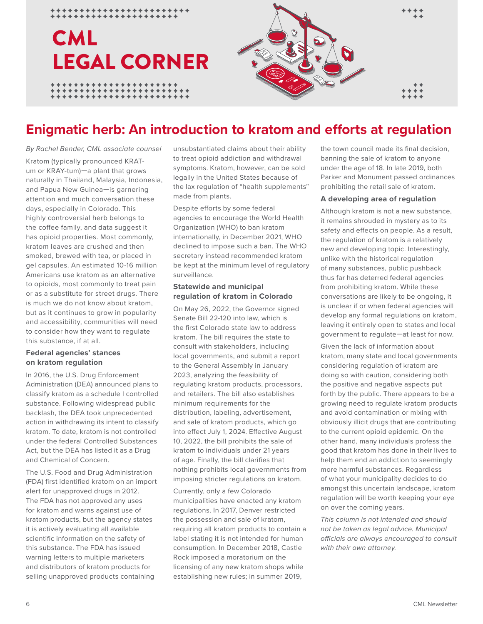## LEGAL CORNER **CML**

\*\*\*\*\*\*\*\*\*\*\*\*\*\*

\*\*\*\*\*\*\*\*\*\*\*\*\*\*



## **Enigmatic herb: An introduction to kratom and efforts at regulation**

*By Rachel Bender, CML associate counsel* 

Kratom (typically pronounced KRATum or KRAY-tum)—a plant that grows naturally in Thailand, Malaysia, Indonesia, and Papua New Guinea—is garnering attention and much conversation these days, especially in Colorado. This highly controversial herb belongs to the coffee family, and data suggest it has opioid properties. Most commonly, kratom leaves are crushed and then smoked, brewed with tea, or placed in gel capsules. An estimated 10-16 million Americans use kratom as an alternative to opioids, most commonly to treat pain or as a substitute for street drugs. There is much we do not know about kratom, but as it continues to grow in popularity and accessibility, communities will need to consider how they want to regulate this substance, if at all.

### **Federal agencies' stances on kratom regulation**

In 2016, the U.S. Drug Enforcement Administration (DEA) announced plans to classify kratom as a schedule I controlled substance. Following widespread public backlash, the DEA took unprecedented action in withdrawing its intent to classify kratom. To date, kratom is not controlled under the federal Controlled Substances Act, but the DEA has listed it as a Drug and Chemical of Concern.

The U.S. Food and Drug Administration (FDA) first identified kratom on an import alert for unapproved drugs in 2012. The FDA has not approved any uses for kratom and warns against use of kratom products, but the agency states it is actively evaluating all available scientific information on the safety of this substance. The FDA has issued warning letters to multiple marketers and distributors of kratom products for selling unapproved products containing

unsubstantiated claims about their ability to treat opioid addiction and withdrawal symptoms. Kratom, however, can be sold legally in the United States because of the lax regulation of "health supplements" made from plants.

Despite efforts by some federal agencies to encourage the World Health Organization (WHO) to ban kratom internationally, in December 2021, WHO declined to impose such a ban. The WHO secretary instead recommended kratom be kept at the minimum level of regulatory surveillance.

### **Statewide and municipal regulation of kratom in Colorado**

On May 26, 2022, the Governor signed Senate Bill 22-120 into law, which is the first Colorado state law to address kratom. The bill requires the state to consult with stakeholders, including local governments, and submit a report to the General Assembly in January 2023, analyzing the feasibility of regulating kratom products, processors, and retailers. The bill also establishes minimum requirements for the distribution, labeling, advertisement, and sale of kratom products, which go into effect July 1, 2024. Effective August 10, 2022, the bill prohibits the sale of kratom to individuals under 21 years of age. Finally, the bill clarifies that nothing prohibits local governments from imposing stricter regulations on kratom.

Currently, only a few Colorado municipalities have enacted any kratom regulations. In 2017, Denver restricted the possession and sale of kratom, requiring all kratom products to contain a label stating it is not intended for human consumption. In December 2018, Castle Rock imposed a moratorium on the licensing of any new kratom shops while establishing new rules; in summer 2019,

the town council made its final decision, banning the sale of kratom to anyone under the age of 18. In late 2019, both Parker and Monument passed ordinances prohibiting the retail sale of kratom.

### **A developing area of regulation**

Although kratom is not a new substance, it remains shrouded in mystery as to its safety and effects on people. As a result, the regulation of kratom is a relatively new and developing topic. Interestingly, unlike with the historical regulation of many substances, public pushback thus far has deterred federal agencies from prohibiting kratom. While these conversations are likely to be ongoing, it is unclear if or when federal agencies will develop any formal regulations on kratom, leaving it entirely open to states and local government to regulate—at least for now.

Given the lack of information about kratom, many state and local governments considering regulation of kratom are doing so with caution, considering both the positive and negative aspects put forth by the public. There appears to be a growing need to regulate kratom products and avoid contamination or mixing with obviously illicit drugs that are contributing to the current opioid epidemic. On the other hand, many individuals profess the good that kratom has done in their lives to help them end an addiction to seemingly more harmful substances. Regardless of what your municipality decides to do amongst this uncertain landscape, kratom regulation will be worth keeping your eye on over the coming years.

*This column is not intended and should not be taken as legal advice. Municipal officials are always encouraged to consult with their own attorney.*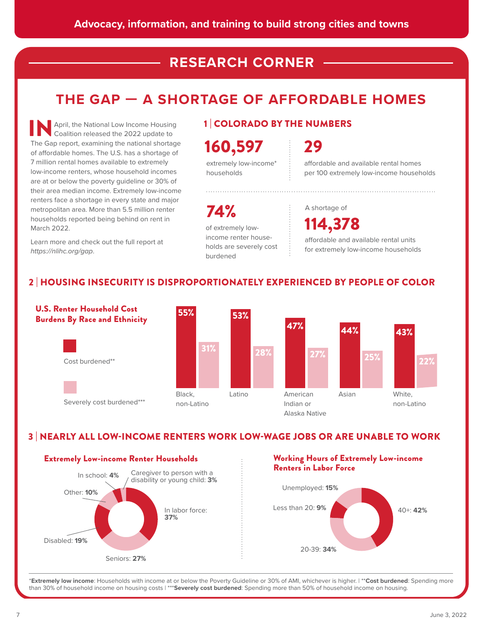## **RESEARCH CORNER**

## **THE GAP — A SHORTAGE OF AFFORDABLE HOMES**

April, the National Low Income Housing Coalition released the 2022 update to **The Gap report, examining the national shortage**<br>The Gap report, examining the national shortage of affordable homes. The U.S. has a shortage of 7 million rental homes available to extremely low-income renters, whose household incomes are at or below the poverty guideline or 30% of their area median income. Extremely low-income renters face a shortage in every state and major metropolitan area. More than 5.5 million renter households reported being behind on rent in March 2022.

Learn more and check out the full report at https://nlihc.org/gap.

### 1 | COLORADO BY THE NUMBERS

160,597

extremely low-income\* households

29

affordable and available rental homes per 100 extremely low-income households

of extremely lowincome renter households are severely cost burdened **74%** A shortage of

114,378 affordable and available rental units for extremely low-income households

### 2 | HOUSING INSECURITY IS DISPROPORTIONATELY EXPERIENCED BY PEOPLE OF COLOR



### 3 | NEARLY ALL LOW-INCOME RENTERS WORK LOW-WAGE JOBS OR ARE UNABLE TO WORK



### Working Hours of Extremely Low-income Renters in Labor Force



\***Extremely low income**: Households with income at or below the Poverty Guideline or 30% of AMI, whichever is higher. | \*\***Cost burdened**: Spending more than 30% of household income on housing costs | \*\*\***Severely cost burdened**: Spending more than 50% of household income on housing.